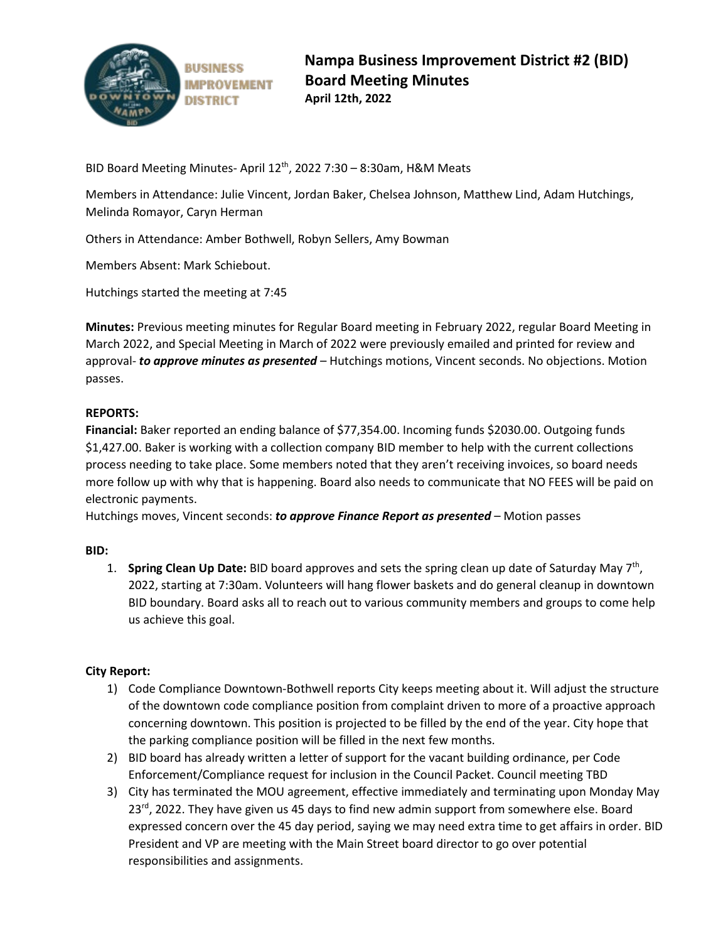

**BUSINESS IMPROVEMENT DISTRICT** 

BID Board Meeting Minutes- April 12<sup>th</sup>, 2022 7:30 - 8:30am, H&M Meats

Members in Attendance: Julie Vincent, Jordan Baker, Chelsea Johnson, Matthew Lind, Adam Hutchings, Melinda Romayor, Caryn Herman

Others in Attendance: Amber Bothwell, Robyn Sellers, Amy Bowman

Members Absent: Mark Schiebout.

Hutchings started the meeting at 7:45

**Minutes:** Previous meeting minutes for Regular Board meeting in February 2022, regular Board Meeting in March 2022, and Special Meeting in March of 2022 were previously emailed and printed for review and approval- *to approve minutes as presented* – Hutchings motions, Vincent seconds. No objections. Motion passes.

## **REPORTS:**

**Financial:** Baker reported an ending balance of \$77,354.00. Incoming funds \$2030.00. Outgoing funds \$1,427.00. Baker is working with a collection company BID member to help with the current collections process needing to take place. Some members noted that they aren't receiving invoices, so board needs more follow up with why that is happening. Board also needs to communicate that NO FEES will be paid on electronic payments.

Hutchings moves, Vincent seconds: *to approve Finance Report as presented* – Motion passes

### **BID:**

1. **Spring Clean Up Date:** BID board approves and sets the spring clean up date of Saturday May 7th, 2022, starting at 7:30am. Volunteers will hang flower baskets and do general cleanup in downtown BID boundary. Board asks all to reach out to various community members and groups to come help us achieve this goal.

# **City Report:**

- 1) Code Compliance Downtown-Bothwell reports City keeps meeting about it. Will adjust the structure of the downtown code compliance position from complaint driven to more of a proactive approach concerning downtown. This position is projected to be filled by the end of the year. City hope that the parking compliance position will be filled in the next few months.
- 2) BID board has already written a letter of support for the vacant building ordinance, per Code Enforcement/Compliance request for inclusion in the Council Packet. Council meeting TBD
- 3) City has terminated the MOU agreement, effective immediately and terminating upon Monday May  $23<sup>rd</sup>$ , 2022. They have given us 45 days to find new admin support from somewhere else. Board expressed concern over the 45 day period, saying we may need extra time to get affairs in order. BID President and VP are meeting with the Main Street board director to go over potential responsibilities and assignments.